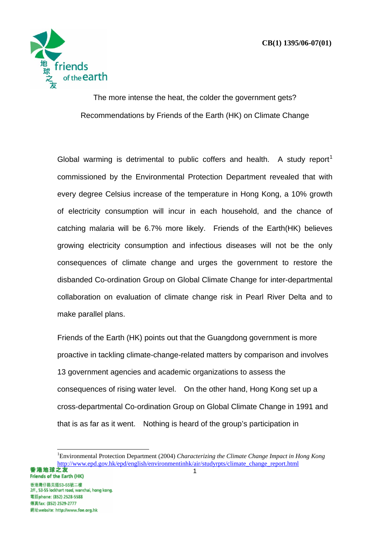

The more intense the heat, the colder the government gets? Recommendations by Friends of the Earth (HK) on Climate Change

Global warming is detrimental to public coffers and health. A study report<sup>1</sup> commissioned by the Environmental Protection Department revealed that with every degree Celsius increase of the temperature in Hong Kong, a 10% growth of electricity consumption will incur in each household, and the chance of catching malaria will be 6.7% more likely. Friends of the Earth(HK) believes growing electricity consumption and infectious diseases will not be the only consequences of climate change and urges the government to restore the disbanded Co-ordination Group on Global Climate Change for inter-departmental collaboration on evaluation of climate change risk in Pearl River Delta and to make parallel plans.

Friends of the Earth (HK) points out that the Guangdong government is more proactive in tackling climate-change-related matters by comparison and involves 13 government agencies and academic organizations to assess the consequences of rising water level. On the other hand, Hong Kong set up a cross-departmental Co-ordination Group on Global Climate Change in 1991 and that is as far as it went. Nothing is heard of the group's participation in

<sup>1</sup> Environmental Protection Department (2004) *Characterizing the Climate Change Impact in Hong Kong* http://www.epd.gov.hk/epd/english/environmentinhk/air/studyrpts/climate\_change\_report.html<br>
1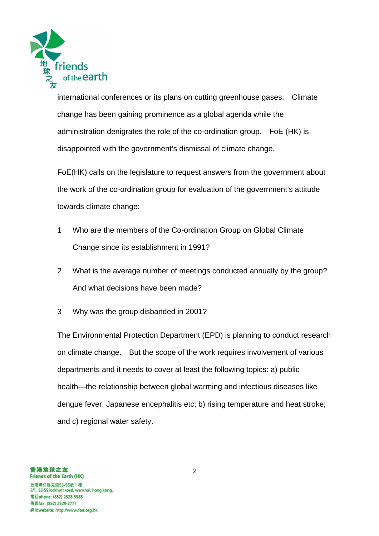

international conferences or its plans on cutting greenhouse gases. Climate change has been gaining prominence as a global agenda while the administration denigrates the role of the co-ordination group. FoE (HK) is disappointed with the government's dismissal of climate change.

FoE(HK) calls on the legislature to request answers from the government about the work of the co-ordination group for evaluation of the government's attitude towards climate change:

- 1 Who are the members of the Co-ordination Group on Global Climate Change since its establishment in 1991?
- 2 What is the average number of meetings conducted annually by the group? And what decisions have been made?
- 3 Why was the group disbanded in 2001?

The Environmental Protection Department (EPD) is planning to conduct research on climate change. But the scope of the work requires involvement of various departments and it needs to cover at least the following topics: a) public health—the relationship between global warming and infectious diseases like dengue fever, Japanese encephalitis etc; b) rising temperature and heat stroke; and c) regional water safety.

香港地球之友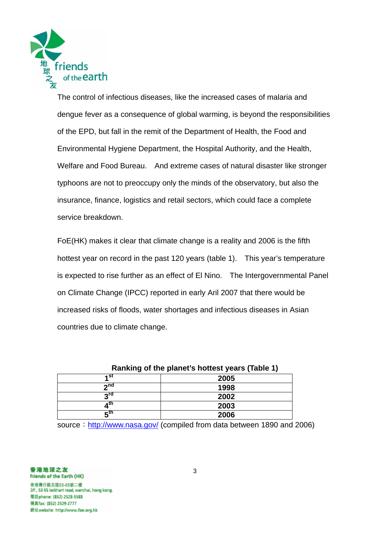

The control of infectious diseases, like the increased cases of malaria and dengue fever as a consequence of global warming, is beyond the responsibilities of the EPD, but fall in the remit of the Department of Health, the Food and Environmental Hygiene Department, the Hospital Authority, and the Health, Welfare and Food Bureau. And extreme cases of natural disaster like stronger typhoons are not to preoccupy only the minds of the observatory, but also the insurance, finance, logistics and retail sectors, which could face a complete service breakdown.

FoE(HK) makes it clear that climate change is a reality and 2006 is the fifth hottest year on record in the past 120 years (table 1). This year's temperature is expected to rise further as an effect of El Nino. The Intergovernmental Panel on Climate Change (IPCC) reported in early Aril 2007 that there would be increased risks of floods, water shortages and infectious diseases in Asian countries due to climate change.

| Ranking of the planet's hottest years (Table 1) |      |  |
|-------------------------------------------------|------|--|
| ⊿st                                             | 2005 |  |
| ეnd                                             | 1998 |  |
| rdم                                             | 2002 |  |
| ı th                                            | 2003 |  |
| rth.                                            | 2006 |  |

source: http://www.nasa.gov/ (compiled from data between 1890 and 2006)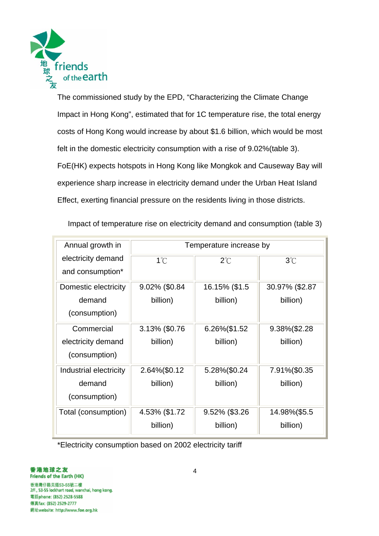

The commissioned study by the EPD, "Characterizing the Climate Change Impact in Hong Kong", estimated that for 1C temperature rise, the total energy costs of Hong Kong would increase by about \$1.6 billion, which would be most felt in the domestic electricity consumption with a rise of 9.02%(table 3). FoE(HK) expects hotspots in Hong Kong like Mongkok and Causeway Bay will experience sharp increase in electricity demand under the Urban Heat Island Effect, exerting financial pressure on the residents living in those districts.

Impact of temperature rise on electricity demand and consumption (table 3)

| Annual growth in       | Temperature increase by |               |                |
|------------------------|-------------------------|---------------|----------------|
| electricity demand     | $1^{\circ}$ C           | $2^{\circ}$ C | $3^\circ C$    |
| and consumption*       |                         |               |                |
| Domestic electricity   | 9.02% (\$0.84           | 16.15% (\$1.5 | 30.97% (\$2.87 |
| demand                 | billion)                | billion)      | billion)       |
| (consumption)          |                         |               |                |
| Commercial             | 3.13% (\$0.76           | 6.26%(\$1.52  | 9.38%(\$2.28   |
| electricity demand     | billion)                | billion)      | billion)       |
| (consumption)          |                         |               |                |
| Industrial electricity | 2.64%(\$0.12            | 5.28%(\$0.24  | 7.91%(\$0.35   |
| demand                 | billion)                | billion)      | billion)       |
| (consumption)          |                         |               |                |
| Total (consumption)    | 4.53% (\$1.72           | 9.52% (\$3.26 | 14.98%(\$5.5   |
|                        | billion)                | billion)      | billion)       |

\*Electricity consumption based on 2002 electricity tariff